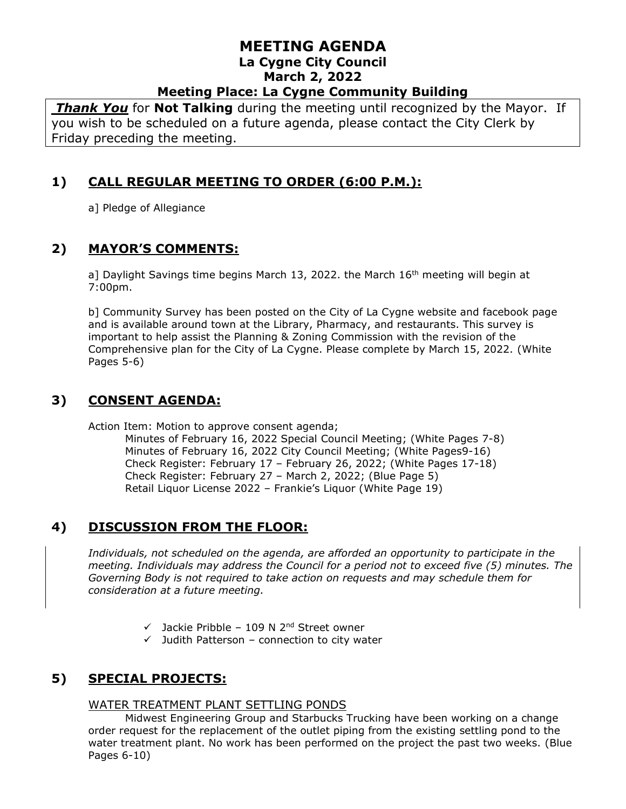*Thank You* for **Not Talking** during the meeting until recognized by the Mayor. If you wish to be scheduled on a future agenda, please contact the City Clerk by Friday preceding the meeting.

## **1) CALL REGULAR MEETING TO ORDER (6:00 P.M.):**

a] Pledge of Allegiance

## **2) MAYOR'S COMMENTS:**

a] Daylight Savings time begins March 13, 2022. the March 16<sup>th</sup> meeting will begin at 7:00pm.

b] Community Survey has been posted on the City of La Cygne website and facebook page and is available around town at the Library, Pharmacy, and restaurants. This survey is important to help assist the Planning & Zoning Commission with the revision of the Comprehensive plan for the City of La Cygne. Please complete by March 15, 2022. (White Pages 5-6)

## **3) CONSENT AGENDA:**

Action Item: Motion to approve consent agenda;

Minutes of February 16, 2022 Special Council Meeting; (White Pages 7-8) Minutes of February 16, 2022 City Council Meeting; (White Pages9-16) Check Register: February 17 – February 26, 2022; (White Pages 17-18) Check Register: February 27 – March 2, 2022; (Blue Page 5) Retail Liquor License 2022 – Frankie's Liquor (White Page 19)

# **4) DISCUSSION FROM THE FLOOR:**

*Individuals, not scheduled on the agenda, are afforded an opportunity to participate in the meeting. Individuals may address the Council for a period not to exceed five (5) minutes. The Governing Body is not required to take action on requests and may schedule them for consideration at a future meeting.* 

- $\checkmark$  Jackie Pribble 109 N 2<sup>nd</sup> Street owner
- $\checkmark$  Judith Patterson connection to city water

# **5) SPECIAL PROJECTS:**

#### WATER TREATMENT PLANT SETTLING PONDS

Midwest Engineering Group and Starbucks Trucking have been working on a change order request for the replacement of the outlet piping from the existing settling pond to the water treatment plant. No work has been performed on the project the past two weeks. (Blue Pages 6-10)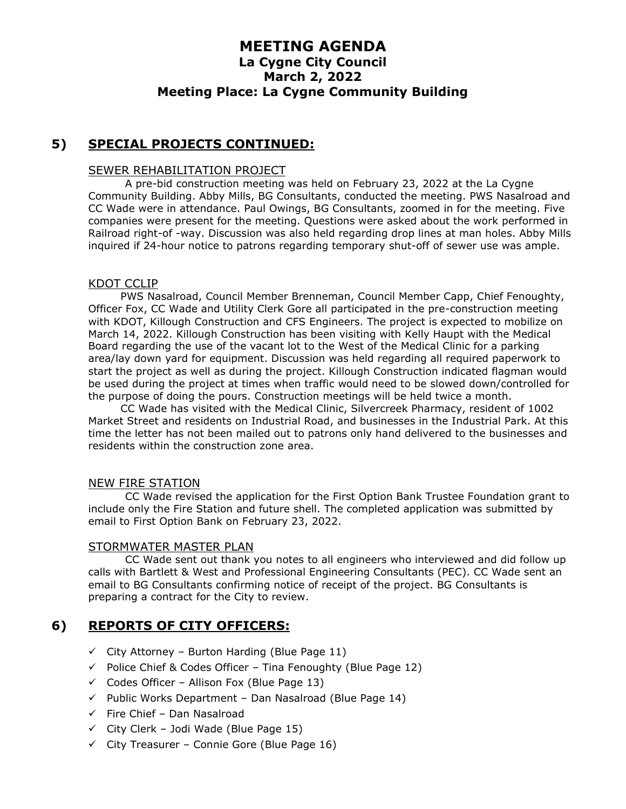### **5) SPECIAL PROJECTS CONTINUED:**

#### SEWER REHABILITATION PROJECT

A pre-bid construction meeting was held on February 23, 2022 at the La Cygne Community Building. Abby Mills, BG Consultants, conducted the meeting. PWS Nasalroad and CC Wade were in attendance. Paul Owings, BG Consultants, zoomed in for the meeting. Five companies were present for the meeting. Questions were asked about the work performed in Railroad right-of -way. Discussion was also held regarding drop lines at man holes. Abby Mills inquired if 24-hour notice to patrons regarding temporary shut-off of sewer use was ample.

#### KDOT CCLIP

PWS Nasalroad, Council Member Brenneman, Council Member Capp, Chief Fenoughty, Officer Fox, CC Wade and Utility Clerk Gore all participated in the pre-construction meeting with KDOT, Killough Construction and CFS Engineers. The project is expected to mobilize on March 14, 2022. Killough Construction has been visiting with Kelly Haupt with the Medical Board regarding the use of the vacant lot to the West of the Medical Clinic for a parking area/lay down yard for equipment. Discussion was held regarding all required paperwork to start the project as well as during the project. Killough Construction indicated flagman would be used during the project at times when traffic would need to be slowed down/controlled for the purpose of doing the pours. Construction meetings will be held twice a month.

CC Wade has visited with the Medical Clinic, Silvercreek Pharmacy, resident of 1002 Market Street and residents on Industrial Road, and businesses in the Industrial Park. At this time the letter has not been mailed out to patrons only hand delivered to the businesses and residents within the construction zone area.

#### NEW FIRE STATION

CC Wade revised the application for the First Option Bank Trustee Foundation grant to include only the Fire Station and future shell. The completed application was submitted by email to First Option Bank on February 23, 2022.

#### STORMWATER MASTER PLAN

CC Wade sent out thank you notes to all engineers who interviewed and did follow up calls with Bartlett & West and Professional Engineering Consultants (PEC). CC Wade sent an email to BG Consultants confirming notice of receipt of the project. BG Consultants is preparing a contract for the City to review.

### **6) REPORTS OF CITY OFFICERS:**

- $\checkmark$  City Attorney Burton Harding (Blue Page 11)
- $\checkmark$  Police Chief & Codes Officer Tina Fenoughty (Blue Page 12)
- $\checkmark$  Codes Officer Allison Fox (Blue Page 13)
- $\checkmark$  Public Works Department Dan Nasalroad (Blue Page 14)
- $\checkmark$  Fire Chief Dan Nasalroad
- $\checkmark$  City Clerk Jodi Wade (Blue Page 15)
- $\checkmark$  City Treasurer Connie Gore (Blue Page 16)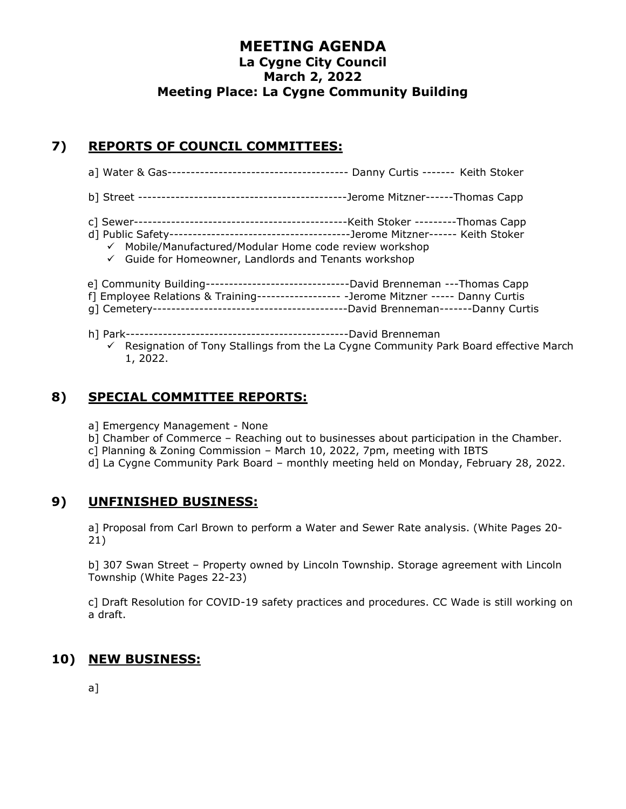## **7) REPORTS OF COUNCIL COMMITTEES:**

- a] Water & Gas--------------------------------------- Danny Curtis ------- Keith Stoker
- b] Street ---------------------------------------------Jerome Mitzner------Thomas Capp
- c] Sewer----------------------------------------------Keith Stoker ---------Thomas Capp
- d] Public Safety---------------------------------------Jerome Mitzner------ Keith Stoker
	- ✓ Mobile/Manufactured/Modular Home code review workshop
	- ✓ Guide for Homeowner, Landlords and Tenants workshop
- e] Community Building-------------------------------David Brenneman ---Thomas Capp
- f] Employee Relations & Training------------------ -Jerome Mitzner ----- Danny Curtis
- g] Cemetery------------------------------------------David Brenneman-------Danny Curtis
- h] Park------------------------------------------------David Brenneman
	- $\checkmark$  Resignation of Tony Stallings from the La Cygne Community Park Board effective March 1, 2022.

### **8) SPECIAL COMMITTEE REPORTS:**

- a] Emergency Management None
- b] Chamber of Commerce Reaching out to businesses about participation in the Chamber.
- c] Planning & Zoning Commission March 10, 2022, 7pm, meeting with IBTS
- d] La Cygne Community Park Board monthly meeting held on Monday, February 28, 2022.

#### **9) UNFINISHED BUSINESS:**

a] Proposal from Carl Brown to perform a Water and Sewer Rate analysis. (White Pages 20- 21)

b] 307 Swan Street – Property owned by Lincoln Township. Storage agreement with Lincoln Township (White Pages 22-23)

c] Draft Resolution for COVID-19 safety practices and procedures. CC Wade is still working on a draft.

## **10) NEW BUSINESS:**

a]